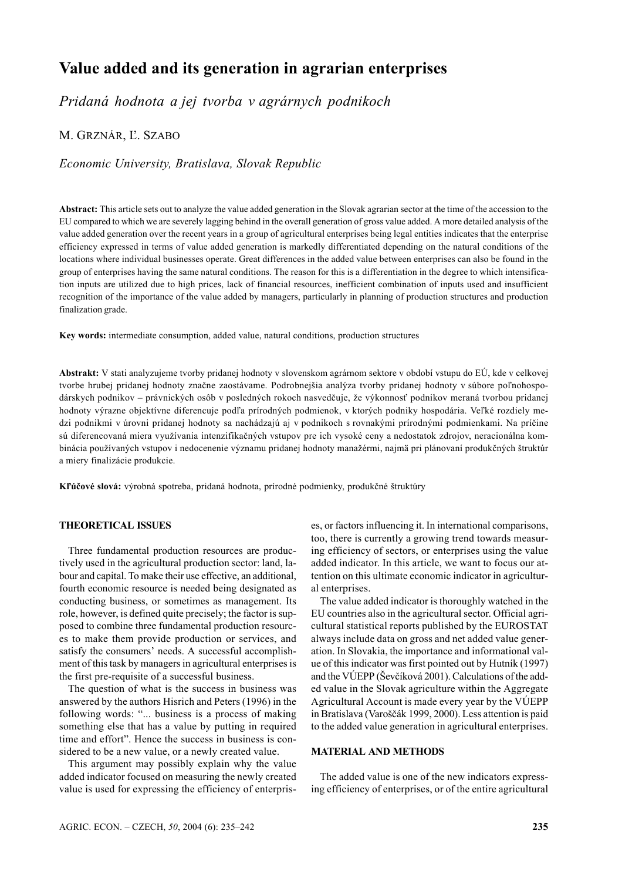# **Value added and its generation in agrarian enterprises**

*Pridaná hodnota a jej tvorba v agrárnych podnikoch*

M. GRZNÁR, Ľ. SZABO

*Economic University, Bratislava, Slovak Republic*

**Abstract:** This article sets out to analyze the value added generation in the Slovak agrarian sector at the time of the accession to the EU compared to which we are severely lagging behind in the overall generation of gross value added. A more detailed analysis of the value added generation over the recent years in a group of agricultural enterprises being legal entities indicates that the enterprise efficiency expressed in terms of value added generation is markedly differentiated depending on the natural conditions of the locations where individual businesses operate. Great differences in the added value between enterprises can also be found in the group of enterprises having the same natural conditions. The reason for this is a differentiation in the degree to which intensification inputs are utilized due to high prices, lack of financial resources, inefficient combination of inputs used and insufficient recognition of the importance of the value added by managers, particularly in planning of production structures and production finalization grade.

**Key words:** intermediate consumption, added value, natural conditions, production structures

**Abstrakt:** V stati analyzujeme tvorby pridanej hodnoty v slovenskom agrárnom sektore v období vstupu do EÚ, kde v celkovej tvorbe hrubej pridanej hodnoty značne zaostávame. Podrobnejšia analýza tvorby pridanej hodnoty v súbore poľnohospodárskych podnikov – právnických osôb v posledných rokoch nasvedčuje, že výkonnosť podnikov meraná tvorbou pridanej hodnoty výrazne objektívne diferencuje podľa prírodných podmienok, v ktorých podniky hospodária. Veľké rozdiely medzi podnikmi v úrovni pridanej hodnoty sa nachádzajú aj v podnikoch s rovnakými prírodnými podmienkami. Na príčine sú diferencovaná miera využívania intenzifikačných vstupov pre ich vysoké ceny a nedostatok zdrojov, neracionálna kombinácia používaných vstupov i nedocenenie významu pridanej hodnoty manažérmi, najmä pri plánovaní produkčných štruktúr a miery finalizácie produkcie.

**Kľúčové slová:** výrobná spotreba, pridaná hodnota, prírodné podmienky, produkčné štruktúry

#### **THEORETICAL ISSUES**

Three fundamental production resources are productively used in the agricultural production sector: land, labour and capital. To make their use effective, an additional, fourth economic resource is needed being designated as conducting business, or sometimes as management. Its role, however, is defined quite precisely; the factor is supposed to combine three fundamental production resources to make them provide production or services, and satisfy the consumers' needs. A successful accomplishment of this task by managers in agricultural enterprises is the first pre-requisite of a successful business.

The question of what is the success in business was answered by the authors Hisrich and Peters (1996) in the following words: "... business is a process of making something else that has a value by putting in required time and effort". Hence the success in business is considered to be a new value, or a newly created value.

This argument may possibly explain why the value added indicator focused on measuring the newly created value is used for expressing the efficiency of enterprises, or factors influencing it. In international comparisons, too, there is currently a growing trend towards measuring efficiency of sectors, or enterprises using the value added indicator. In this article, we want to focus our attention on this ultimate economic indicator in agricultural enterprises.

The value added indicator is thoroughly watched in the EU countries also in the agricultural sector. Official agricultural statistical reports published by the EUROSTAT always include data on gross and net added value generation. In Slovakia, the importance and informational value of this indicator was first pointed out by Hutník (1997) and the VÚEPP (Ševčíková 2001). Calculations of the added value in the Slovak agriculture within the Aggregate Agricultural Account is made every year by the VÚEPP in Bratislava (Varoščák 1999, 2000). Less attention is paid to the added value generation in agricultural enterprises.

## **MATERIAL AND METHODS**

The added value is one of the new indicators expressing efficiency of enterprises, or of the entire agricultural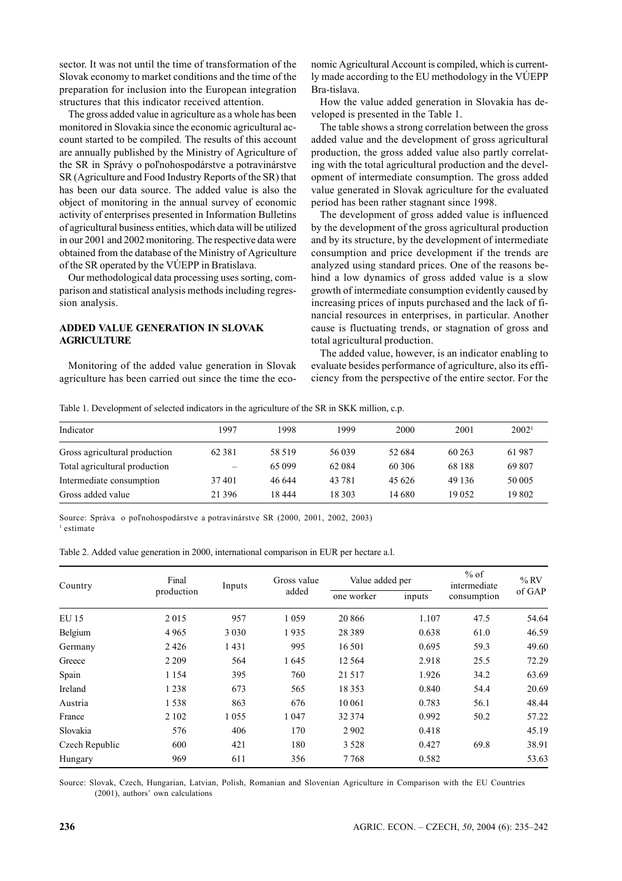sector. It was not until the time of transformation of the Slovak economy to market conditions and the time of the preparation for inclusion into the European integration structures that this indicator received attention.

The gross added value in agriculture as a whole has been monitored in Slovakia since the economic agricultural account started to be compiled. The results of this account are annually published by the Ministry of Agriculture of the SR in Správy o poľnohospodárstve a potravinárstve SR (Agriculture and Food Industry Reports of the SR) that has been our data source. The added value is also the object of monitoring in the annual survey of economic activity of enterprises presented in Information Bulletins of agricultural business entities, which data will be utilized in our 2001 and 2002 monitoring. The respective data were obtained from the database of the Ministry of Agriculture of the SR operated by the VÚEPP in Bratislava.

Our methodological data processing uses sorting, comparison and statistical analysis methods including regression analysis.

## **ADDED VALUE GENERATION IN SLOVAK AGRICULTURE**

Monitoring of the added value generation in Slovak agriculture has been carried out since the time the economic Agricultural Account is compiled, which is currently made according to the EU methodology in the VÚEPP Bra-tislava.

How the value added generation in Slovakia has developed is presented in the Table 1.

The table shows a strong correlation between the gross added value and the development of gross agricultural production, the gross added value also partly correlating with the total agricultural production and the development of intermediate consumption. The gross added value generated in Slovak agriculture for the evaluated period has been rather stagnant since 1998.

The development of gross added value is influenced by the development of the gross agricultural production and by its structure, by the development of intermediate consumption and price development if the trends are analyzed using standard prices. One of the reasons behind a low dynamics of gross added value is a slow growth of intermediate consumption evidently caused by increasing prices of inputs purchased and the lack of financial resources in enterprises, in particular. Another cause is fluctuating trends, or stagnation of gross and total agricultural production.

The added value, however, is an indicator enabling to evaluate besides performance of agriculture, also its efficiency from the perspective of the entire sector. For the

Table 1. Development of selected indicators in the agriculture of the SR in SKK million, c.p.

| Indicator                     | 1997     | 1998   | 1999   | 2000    | 2001    | 2002 <sup>1</sup> |
|-------------------------------|----------|--------|--------|---------|---------|-------------------|
| Gross agricultural production | 62 3 81  | 58 519 | 56039  | 52 684  | 60 263  | 61987             |
| Total agricultural production |          | 65 099 | 62084  | 60 30 6 | 68 188  | 69 807            |
| Intermediate consumption      | 37401    | 46 644 | 43 781 | 45 626  | 49 136  | 50 005            |
| Gross added value             | 21 3 9 6 | 18 444 | 18 303 | 14 680  | 19 0 52 | 19802             |

Source: Správa o poľnohospodárstve a potravinárstve SR (2000, 2001, 2002, 2003)  $<sup>1</sup>$  estimate</sup>

Table 2. Added value generation in 2000, international comparison in EUR per hectare a.l.

| Country        | Final      | Inputs  | Gross value | Value added per |        | $%$ of<br>intermediate | $%$ RV |
|----------------|------------|---------|-------------|-----------------|--------|------------------------|--------|
|                | production |         | added       | one worker      | inputs | consumption            | of GAP |
| EU 15          | 2015       | 957     | 1059        | 20866           | 1.107  | 47.5                   | 54.64  |
| Belgium        | 4965       | 3 0 3 0 | 1935        | 28 3 8 9        | 0.638  | 61.0                   | 46.59  |
| Germany        | 2426       | 1431    | 995         | 16 501          | 0.695  | 59.3                   | 49.60  |
| Greece         | 2 2 0 9    | 564     | 1645        | 12 5 6 4        | 2.918  | 25.5                   | 72.29  |
| Spain          | 1 1 5 4    | 395     | 760         | 21 5 17         | 1.926  | 34.2                   | 63.69  |
| Ireland        | 1238       | 673     | 565         | 18 3 5 3        | 0.840  | 54.4                   | 20.69  |
| Austria        | 1538       | 863     | 676         | 10 061          | 0.783  | 56.1                   | 48.44  |
| France         | 2 1 0 2    | 1 0 5 5 | 1 0 4 7     | 32 374          | 0.992  | 50.2                   | 57.22  |
| Slovakia       | 576        | 406     | 170         | 2902            | 0.418  |                        | 45.19  |
| Czech Republic | 600        | 421     | 180         | 3 5 2 8         | 0.427  | 69.8                   | 38.91  |
| Hungary        | 969        | 611     | 356         | 7768            | 0.582  |                        | 53.63  |

Source: Slovak, Czech, Hungarian, Latvian, Polish, Romanian and Slovenian Agriculture in Comparison with the EU Countries (2001), authors' own calculations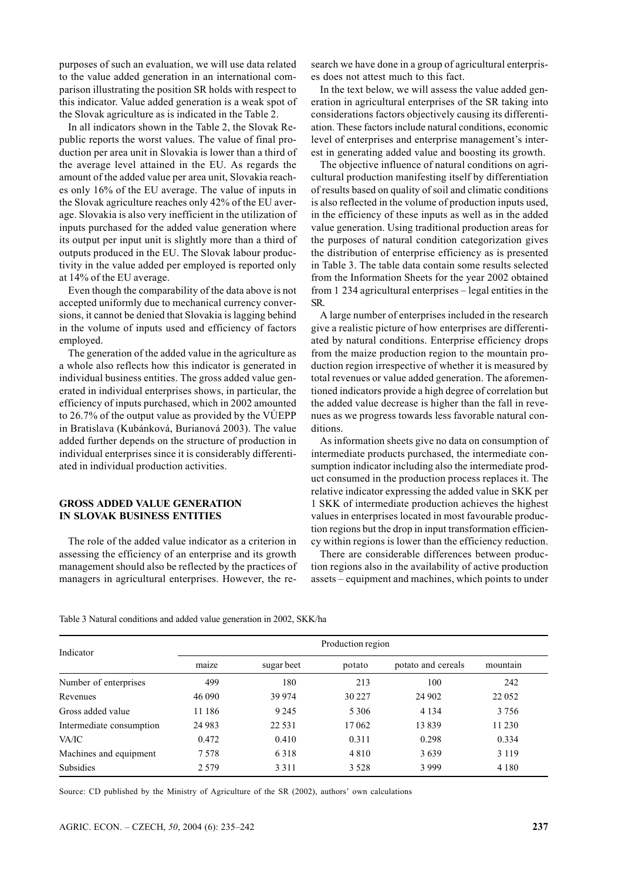purposes of such an evaluation, we will use data related to the value added generation in an international comparison illustrating the position SR holds with respect to this indicator. Value added generation is a weak spot of the Slovak agriculture as is indicated in the Table 2.

In all indicators shown in the Table 2, the Slovak Republic reports the worst values. The value of final production per area unit in Slovakia is lower than a third of the average level attained in the EU. As regards the amount of the added value per area unit, Slovakia reaches only 16% of the EU average. The value of inputs in the Slovak agriculture reaches only 42% of the EU average. Slovakia is also very inefficient in the utilization of inputs purchased for the added value generation where its output per input unit is slightly more than a third of outputs produced in the EU. The Slovak labour productivity in the value added per employed is reported only at 14% of the EU average.

Even though the comparability of the data above is not accepted uniformly due to mechanical currency conversions, it cannot be denied that Slovakia is lagging behind in the volume of inputs used and efficiency of factors employed.

The generation of the added value in the agriculture as a whole also reflects how this indicator is generated in individual business entities. The gross added value generated in individual enterprises shows, in particular, the efficiency of inputs purchased, which in 2002 amounted to 26.7% of the output value as provided by the VÚEPP in Bratislava (Kubánková, Burianová 2003). The value added further depends on the structure of production in individual enterprises since it is considerably differentiated in individual production activities.

### **GROSS ADDED VALUE GENERATION IN SLOVAK BUSINESS ENTITIES**

The role of the added value indicator as a criterion in assessing the efficiency of an enterprise and its growth management should also be reflected by the practices of managers in agricultural enterprises. However, the research we have done in a group of agricultural enterprises does not attest much to this fact.

In the text below, we will assess the value added generation in agricultural enterprises of the SR taking into considerations factors objectively causing its differentiation. These factors include natural conditions, economic level of enterprises and enterprise management's interest in generating added value and boosting its growth.

The objective influence of natural conditions on agricultural production manifesting itself by differentiation of results based on quality of soil and climatic conditions is also reflected in the volume of production inputs used, in the efficiency of these inputs as well as in the added value generation. Using traditional production areas for the purposes of natural condition categorization gives the distribution of enterprise efficiency as is presented in Table 3. The table data contain some results selected from the Information Sheets for the year 2002 obtained from 1 234 agricultural enterprises – legal entities in the SR.

A large number of enterprises included in the research give a realistic picture of how enterprises are differentiated by natural conditions. Enterprise efficiency drops from the maize production region to the mountain production region irrespective of whether it is measured by total revenues or value added generation. The aforementioned indicators provide a high degree of correlation but the added value decrease is higher than the fall in revenues as we progress towards less favorable natural conditions.

As information sheets give no data on consumption of intermediate products purchased, the intermediate consumption indicator including also the intermediate product consumed in the production process replaces it. The relative indicator expressing the added value in SKK per 1 SKK of intermediate production achieves the highest values in enterprises located in most favourable production regions but the drop in input transformation efficiency within regions is lower than the efficiency reduction.

There are considerable differences between production regions also in the availability of active production assets – equipment and machines, which points to under

| Indicator                |        | Production region |         |                    |          |  |  |  |
|--------------------------|--------|-------------------|---------|--------------------|----------|--|--|--|
|                          | maize  | sugar beet        | potato  | potato and cereals | mountain |  |  |  |
| Number of enterprises    | 499    | 180               | 213     | 100                | 242      |  |  |  |
| Revenues                 | 46 090 | 39 9 74           | 30 227  | 24 902             | 22 0 52  |  |  |  |
| Gross added value        | 11 186 | 9 2 4 5           | 5 3 0 6 | 4 1 3 4            | 3756     |  |  |  |
| Intermediate consumption | 24 983 | 22 5 31           | 17062   | 13839              | 11 230   |  |  |  |
| VA/IC                    | 0.472  | 0.410             | 0.311   | 0.298              | 0.334    |  |  |  |
| Machines and equipment   | 7578   | 6318              | 4810    | 3639               | 3 1 1 9  |  |  |  |
| <b>Subsidies</b>         | 2579   | 3 3 1 1           | 3 5 2 8 | 3999               | 4 1 8 0  |  |  |  |

Table 3 Natural conditions and added value generation in 2002, SKK/ha

Source: CD published by the Ministry of Agriculture of the SR (2002), authors' own calculations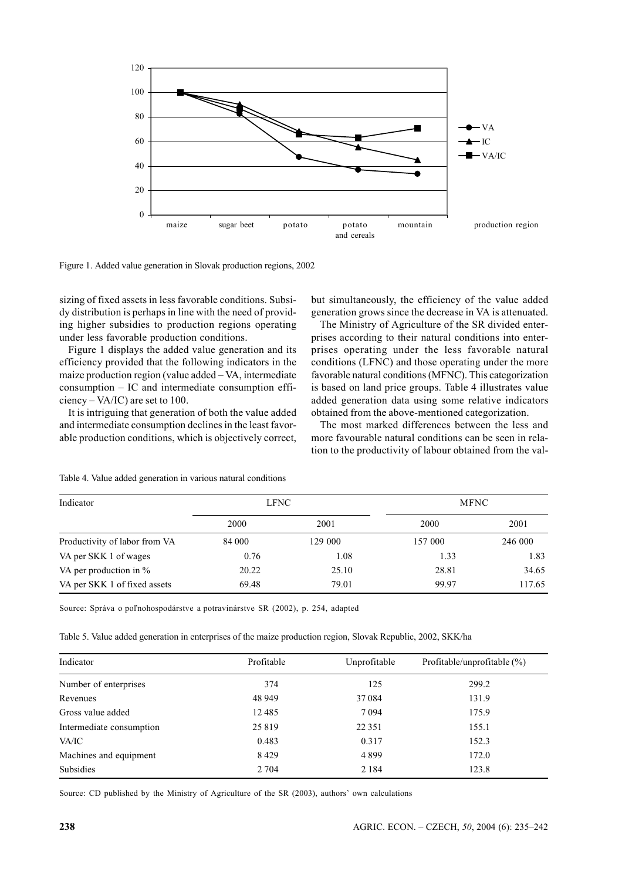

Figure 1. Added value generation in Slovak production regions, 2002

sizing of fixed assets in less favorable conditions. Subsidy distribution is perhaps in line with the need of providing higher subsidies to production regions operating under less favorable production conditions.

Figure 1 displays the added value generation and its efficiency provided that the following indicators in the maize production region (value added – VA, intermediate consumption – IC and intermediate consumption efficiency – VA/IC) are set to 100.

It is intriguing that generation of both the value added and intermediate consumption declines in the least favorable production conditions, which is objectively correct, but simultaneously, the efficiency of the value added generation grows since the decrease in VA is attenuated.

The Ministry of Agriculture of the SR divided enterprises according to their natural conditions into enterprises operating under the less favorable natural conditions (LFNC) and those operating under the more favorable natural conditions (MFNC). This categorization is based on land price groups. Table 4 illustrates value added generation data using some relative indicators obtained from the above-mentioned categorization.

The most marked differences between the less and more favourable natural conditions can be seen in relation to the productivity of labour obtained from the val-

| Indicator                     | <b>LFNC</b> |         | <b>MFNC</b> |         |
|-------------------------------|-------------|---------|-------------|---------|
|                               | 2000        | 2001    | 2000        | 2001    |
| Productivity of labor from VA | 84 000      | 129 000 | 157 000     | 246 000 |
| VA per SKK 1 of wages         | 0.76        | 1.08    | 1.33        | 1.83    |
| VA per production in $%$      | 20.22       | 25.10   | 28.81       | 34.65   |
| VA per SKK 1 of fixed assets  | 69.48       | 79.01   | 99.97       | 117.65  |

Table 4. Value added generation in various natural conditions

Source: Správa o poľnohospodárstve a potravinárstve SR (2002), p. 254, adapted

Table 5. Value added generation in enterprises of the maize production region, Slovak Republic, 2002, SKK/ha

| Indicator                | Profitable | Unprofitable | Profitable/unprofitable $(\%)$ |
|--------------------------|------------|--------------|--------------------------------|
| Number of enterprises    | 374        | 125          | 299.2                          |
| Revenues                 | 48 9 49    | 37 0 84      | 131.9                          |
| Gross value added        | 12485      | 7094         | 175.9                          |
| Intermediate consumption | 25819      | 22 3 5 1     | 155.1                          |
| VA/IC                    | 0.483      | 0.317        | 152.3                          |
| Machines and equipment   | 8429       | 4899         | 172.0                          |
| Subsidies                | 2 7 0 4    | 2 1 8 4      | 123.8                          |

Source: CD published by the Ministry of Agriculture of the SR (2003), authors' own calculations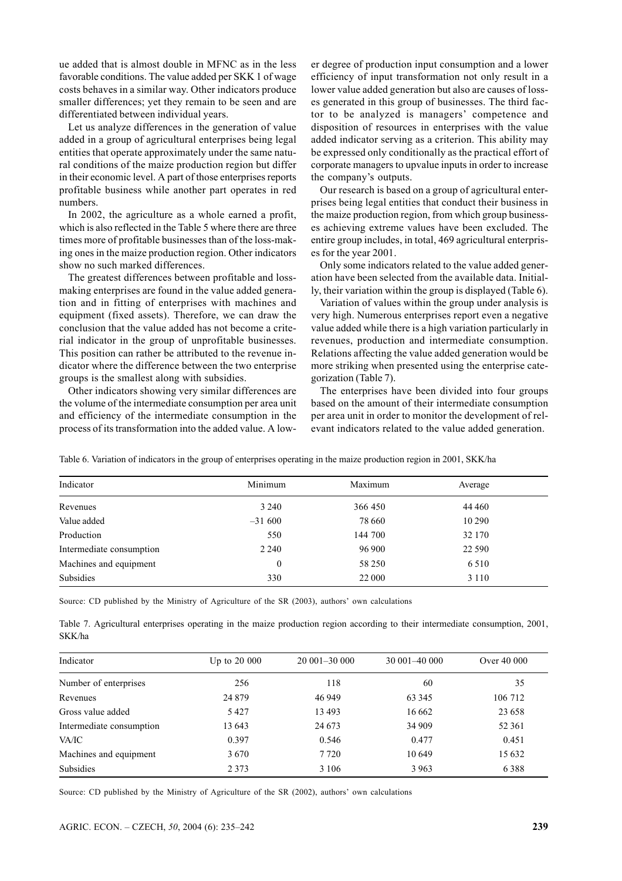ue added that is almost double in MFNC as in the less favorable conditions. The value added per SKK 1 of wage costs behaves in a similar way. Other indicators produce smaller differences; yet they remain to be seen and are differentiated between individual years.

Let us analyze differences in the generation of value added in a group of agricultural enterprises being legal entities that operate approximately under the same natural conditions of the maize production region but differ in their economic level. A part of those enterprises reports profitable business while another part operates in red numbers.

In 2002, the agriculture as a whole earned a profit, which is also reflected in the Table 5 where there are three times more of profitable businesses than of the loss-making ones in the maize production region. Other indicators show no such marked differences.

The greatest differences between profitable and lossmaking enterprises are found in the value added generation and in fitting of enterprises with machines and equipment (fixed assets). Therefore, we can draw the conclusion that the value added has not become a criterial indicator in the group of unprofitable businesses. This position can rather be attributed to the revenue indicator where the difference between the two enterprise groups is the smallest along with subsidies.

Other indicators showing very similar differences are the volume of the intermediate consumption per area unit and efficiency of the intermediate consumption in the process of its transformation into the added value. A lower degree of production input consumption and a lower efficiency of input transformation not only result in a lower value added generation but also are causes of losses generated in this group of businesses. The third factor to be analyzed is managers' competence and disposition of resources in enterprises with the value added indicator serving as a criterion. This ability may be expressed only conditionally as the practical effort of corporate managers to upvalue inputs in order to increase the company's outputs.

Our research is based on a group of agricultural enterprises being legal entities that conduct their business in the maize production region, from which group businesses achieving extreme values have been excluded. The entire group includes, in total, 469 agricultural enterprises for the year 2001.

Only some indicators related to the value added generation have been selected from the available data. Initially, their variation within the group is displayed (Table 6).

Variation of values within the group under analysis is very high. Numerous enterprises report even a negative value added while there is a high variation particularly in revenues, production and intermediate consumption. Relations affecting the value added generation would be more striking when presented using the enterprise categorization (Table 7).

The enterprises have been divided into four groups based on the amount of their intermediate consumption per area unit in order to monitor the development of relevant indicators related to the value added generation.

| Indicator                | Minimum   | Maximum | Average  |  |
|--------------------------|-----------|---------|----------|--|
| Revenues                 | 3 2 4 0   | 366 450 | 44 4 6 0 |  |
| Value added              | $-31,600$ | 78 660  | 10 290   |  |
| Production               | 550       | 144 700 | 32 170   |  |
| Intermediate consumption | 2 2 4 0   | 96 900  | 22 5 9 0 |  |
| Machines and equipment   | 0         | 58 250  | 6 5 1 0  |  |
| Subsidies                | 330       | 22 000  | 3 1 1 0  |  |

Table 6. Variation of indicators in the group of enterprises operating in the maize production region in 2001, SKK/ha

Source: CD published by the Ministry of Agriculture of the SR (2003), authors' own calculations

Table 7. Agricultural enterprises operating in the maize production region according to their intermediate consumption, 2001, SKK/ha

| Indicator                | Up to $20000$ | $20001 - 30000$ | 30 001 - 40 000 | Over 40 000 |
|--------------------------|---------------|-----------------|-----------------|-------------|
| Number of enterprises    | 256           | 118             | 60              | 35          |
| Revenues                 | 24 8 79       | 46 949          | 63 345          | 106 712     |
| Gross value added        | 5427          | 13493           | 16 6 62         | 23 658      |
| Intermediate consumption | 13 643        | 24 6 73         | 34 909          | 52 361      |
| VA/IC                    | 0.397         | 0.546           | 0.477           | 0.451       |
| Machines and equipment   | 3670          | 7 7 2 0         | 10649           | 15 632      |
| Subsidies                | 2 3 7 3       | 3 1 0 6         | 3963            | 6388        |

Source: CD published by the Ministry of Agriculture of the SR (2002), authors' own calculations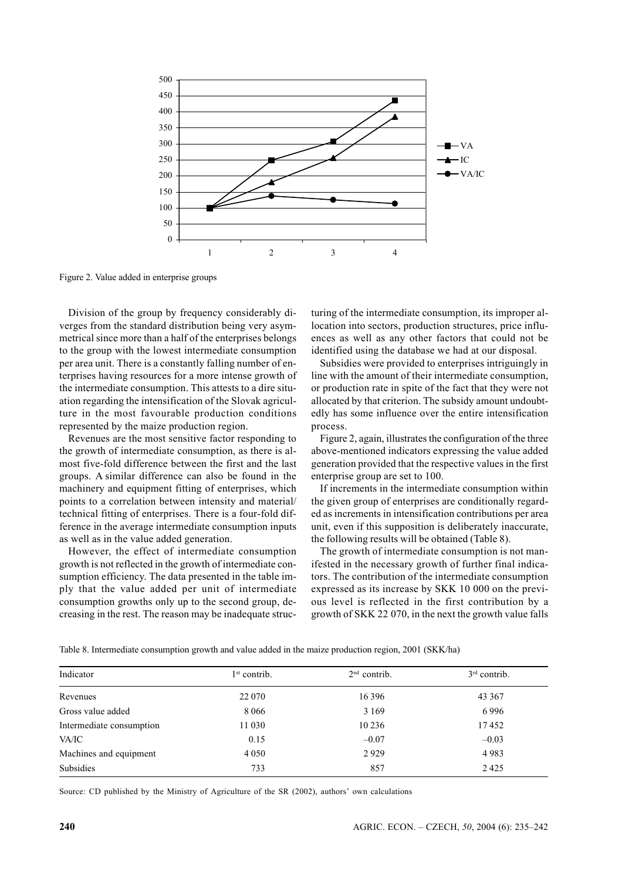

Figure 2. Value added in enterprise groups

Division of the group by frequency considerably diverges from the standard distribution being very asymmetrical since more than a half of the enterprises belongs to the group with the lowest intermediate consumption per area unit. There is a constantly falling number of enterprises having resources for a more intense growth of the intermediate consumption. This attests to a dire situation regarding the intensification of the Slovak agriculture in the most favourable production conditions represented by the maize production region.

Revenues are the most sensitive factor responding to the growth of intermediate consumption, as there is almost five-fold difference between the first and the last groups. A similar difference can also be found in the machinery and equipment fitting of enterprises, which points to a correlation between intensity and material/ technical fitting of enterprises. There is a four-fold difference in the average intermediate consumption inputs as well as in the value added generation.

However, the effect of intermediate consumption growth is not reflected in the growth of intermediate consumption efficiency. The data presented in the table imply that the value added per unit of intermediate consumption growths only up to the second group, decreasing in the rest. The reason may be inadequate structuring of the intermediate consumption, its improper allocation into sectors, production structures, price influences as well as any other factors that could not be identified using the database we had at our disposal.

Subsidies were provided to enterprises intriguingly in line with the amount of their intermediate consumption, or production rate in spite of the fact that they were not allocated by that criterion. The subsidy amount undoubtedly has some influence over the entire intensification process.

Figure 2, again, illustrates the configuration of the three above-mentioned indicators expressing the value added generation provided that the respective values in the first enterprise group are set to 100.

If increments in the intermediate consumption within the given group of enterprises are conditionally regarded as increments in intensification contributions per area unit, even if this supposition is deliberately inaccurate, the following results will be obtained (Table 8).

The growth of intermediate consumption is not manifested in the necessary growth of further final indicators. The contribution of the intermediate consumption expressed as its increase by SKK 10 000 on the previous level is reflected in the first contribution by a growth of SKK 22 070, in the next the growth value falls

| Indicator                | $1st$ contrib. | $2nd$ contrib. | $3rd$ contrib. |
|--------------------------|----------------|----------------|----------------|
| Revenues                 | 22 070         | 16396          | 43 367         |
| Gross value added        | 8066           | 3 1 6 9        | 6996           |
| Intermediate consumption | 11 030         | 10 2 36        | 17452          |
| VA/IC                    | 0.15           | $-0.07$        | $-0.03$        |
| Machines and equipment   | 4 0 5 0        | 2929           | 4983           |
| <b>Subsidies</b>         | 733            | 857            | 2425           |

Table 8. Intermediate consumption growth and value added in the maize production region, 2001 (SKK/ha)

Source: CD published by the Ministry of Agriculture of the SR (2002), authors' own calculations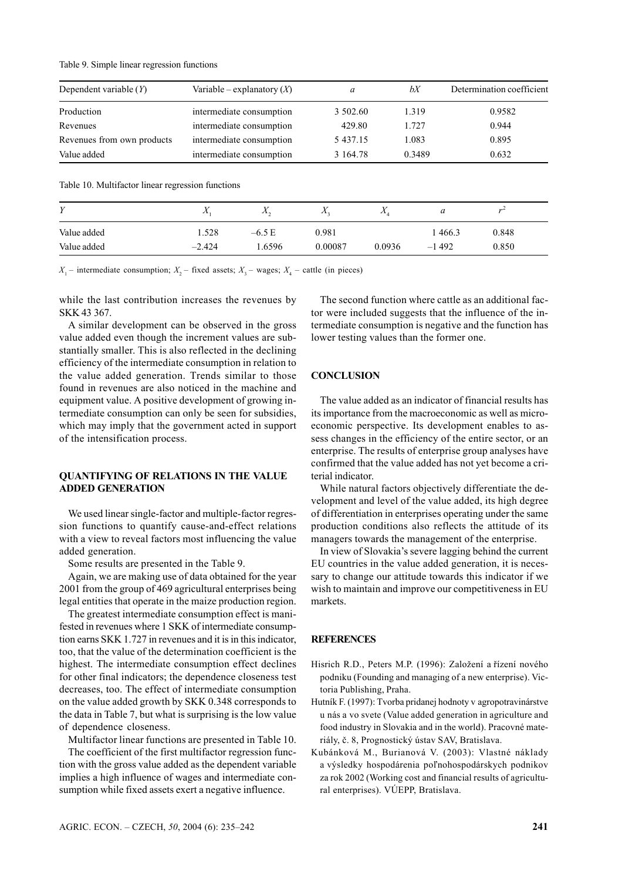Table 9. Simple linear regression functions

| Dependent variable $(Y)$   | Variable – explanatory $(X)$ | a        | bX     | Determination coefficient |
|----------------------------|------------------------------|----------|--------|---------------------------|
| Production                 | intermediate consumption     | 3 502.60 | 1.319  | 0.9582                    |
| Revenues                   | intermediate consumption     | 429.80   | 1.727  | 0.944                     |
| Revenues from own products | intermediate consumption     | 5 437.15 | 1.083  | 0.895                     |
| Value added                | intermediate consumption     | 3 164.78 | 0.3489 | 0.632                     |

Table 10. Multifactor linear regression functions

| $\mathbf{V}$ | 77       | $\Delta$ | $\Lambda$ | $\lambda$ | а       | $\mathbf{z}$ |  |
|--------------|----------|----------|-----------|-----------|---------|--------------|--|
| Value added  | .528     | $-6.5 E$ | 0.981     |           | l 466.3 | 0.848        |  |
| Value added  | $-2.424$ | .6596    | 0.00087   | 0.0936    | $-1492$ | 0.850        |  |

 $X_1$  – intermediate consumption;  $X_2$  – fixed assets;  $X_3$  – wages;  $X_4$  – cattle (in pieces)

while the last contribution increases the revenues by SKK 43 367.

A similar development can be observed in the gross value added even though the increment values are substantially smaller. This is also reflected in the declining efficiency of the intermediate consumption in relation to the value added generation. Trends similar to those found in revenues are also noticed in the machine and equipment value. A positive development of growing intermediate consumption can only be seen for subsidies, which may imply that the government acted in support of the intensification process.

## **QUANTIFYING OF RELATIONS IN THE VALUE ADDED GENERATION**

We used linear single-factor and multiple-factor regression functions to quantify cause-and-effect relations with a view to reveal factors most influencing the value added generation.

Some results are presented in the Table 9.

Again, we are making use of data obtained for the year 2001 from the group of 469 agricultural enterprises being legal entities that operate in the maize production region.

The greatest intermediate consumption effect is manifested in revenues where 1 SKK of intermediate consumption earns SKK 1.727 in revenues and it is in this indicator, too, that the value of the determination coefficient is the highest. The intermediate consumption effect declines for other final indicators; the dependence closeness test decreases, too. The effect of intermediate consumption on the value added growth by SKK 0.348 corresponds to the data in Table 7, but what is surprising is the low value of dependence closeness.

Multifactor linear functions are presented in Table 10.

The coefficient of the first multifactor regression function with the gross value added as the dependent variable implies a high influence of wages and intermediate consumption while fixed assets exert a negative influence.

The second function where cattle as an additional factor were included suggests that the influence of the intermediate consumption is negative and the function has lower testing values than the former one.

#### **CONCLUSION**

The value added as an indicator of financial results has its importance from the macroeconomic as well as microeconomic perspective. Its development enables to assess changes in the efficiency of the entire sector, or an enterprise. The results of enterprise group analyses have confirmed that the value added has not yet become a criterial indicator.

While natural factors objectively differentiate the development and level of the value added, its high degree of differentiation in enterprises operating under the same production conditions also reflects the attitude of its managers towards the management of the enterprise.

In view of Slovakia's severe lagging behind the current EU countries in the value added generation, it is necessary to change our attitude towards this indicator if we wish to maintain and improve our competitiveness in EU markets.

## **REFERENCES**

- Hisrich R.D., Peters M.P. (1996): Založení a řízení nového podniku (Founding and managing of a new enterprise). Victoria Publishing, Praha.
- Hutník F. (1997): Tvorba pridanej hodnoty v agropotravinárstve u nás a vo svete (Value added generation in agriculture and food industry in Slovakia and in the world). Pracovné materiály, č. 8, Prognostický ústav SAV, Bratislava.
- Kubánková M., Burianová V. (2003): Vlastné náklady a výsledky hospodárenia poľnohospodárskych podnikov za rok 2002 (Working cost and financial results of agricultural enterprises). VÚEPP, Bratislava.